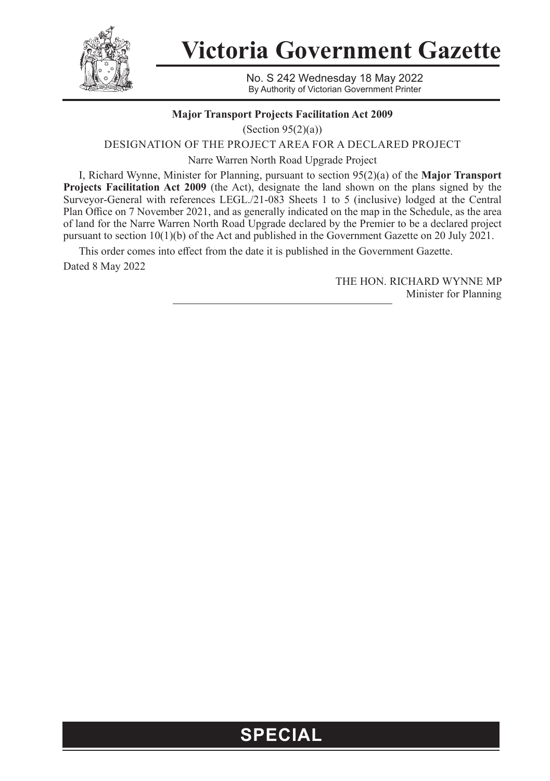

**Victoria Government Gazette**

No. S 242 Wednesday 18 May 2022 By Authority of Victorian Government Printer

## **Major Transport Projects Facilitation Act 2009**

 $(Section 95(2)(a))$ 

DESIGNATION OF THE PROJECT AREA FOR A DECLARED PROJECT

Narre Warren North Road Upgrade Project

I, Richard Wynne, Minister for Planning, pursuant to section 95(2)(a) of the **Major Transport Projects Facilitation Act 2009** (the Act), designate the land shown on the plans signed by the Surveyor‐General with references LEGL./21‐083 Sheets 1 to 5 (inclusive) lodged at the Central Plan Office on 7 November 2021, and as generally indicated on the map in the Schedule, as the area of land for the Narre Warren North Road Upgrade declared by the Premier to be a declared project pursuant to section 10(1)(b) of the Act and published in the Government Gazette on 20 July 2021.

This order comes into effect from the date it is published in the Government Gazette.

Dated 8 May 2022

THE HON. RICHARD WYNNE MP Minister for Planning

## **SPECIAL**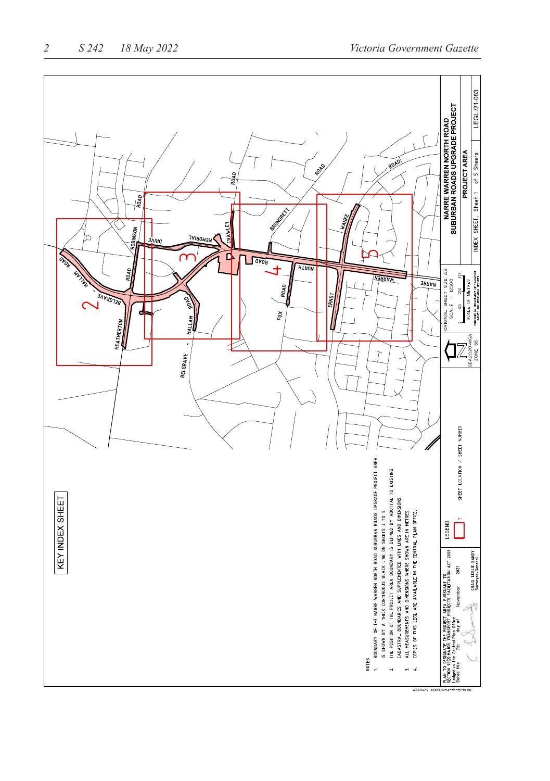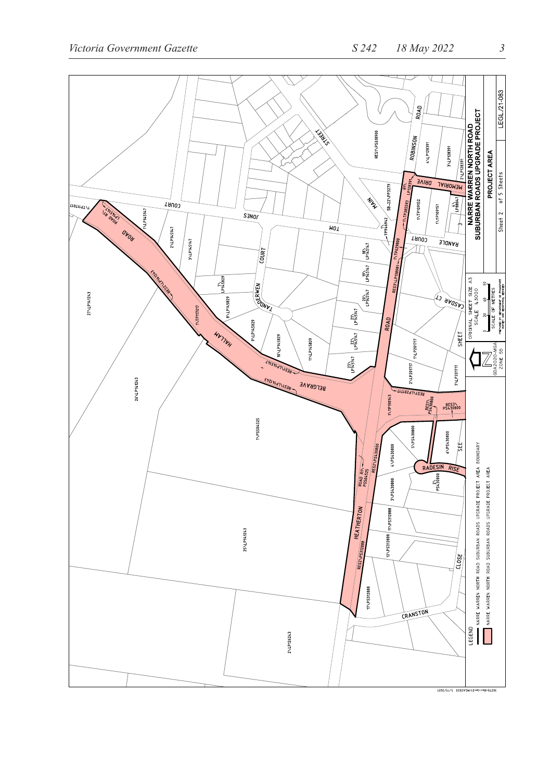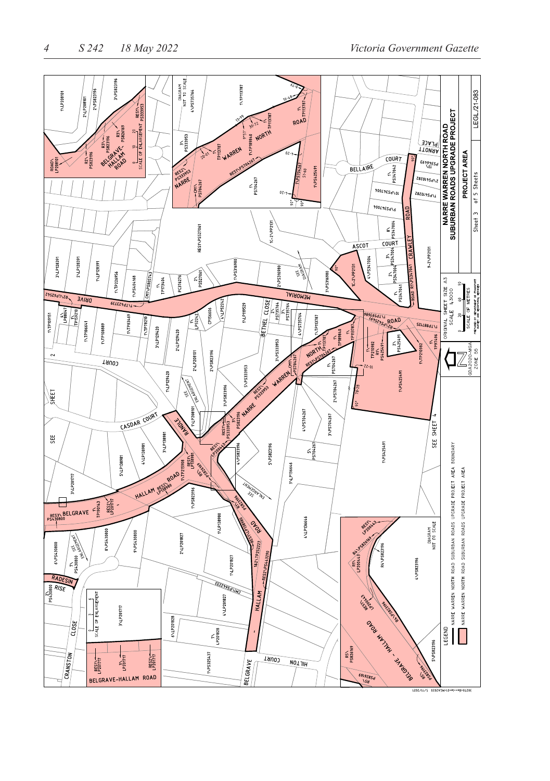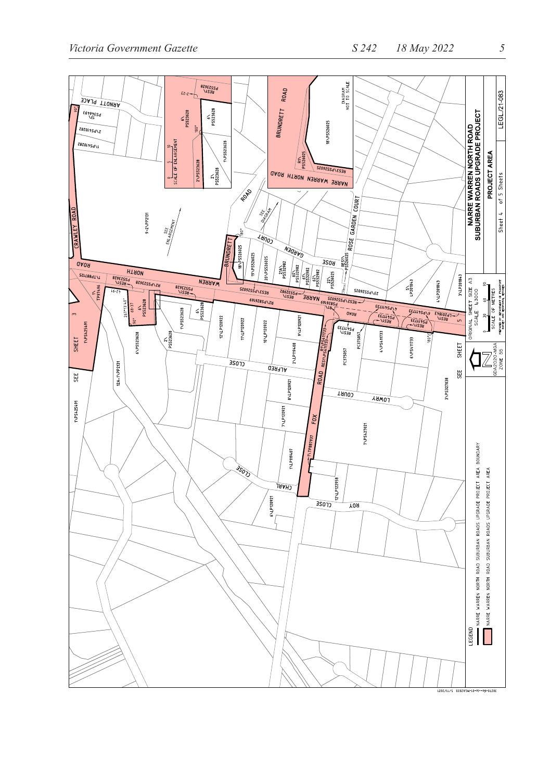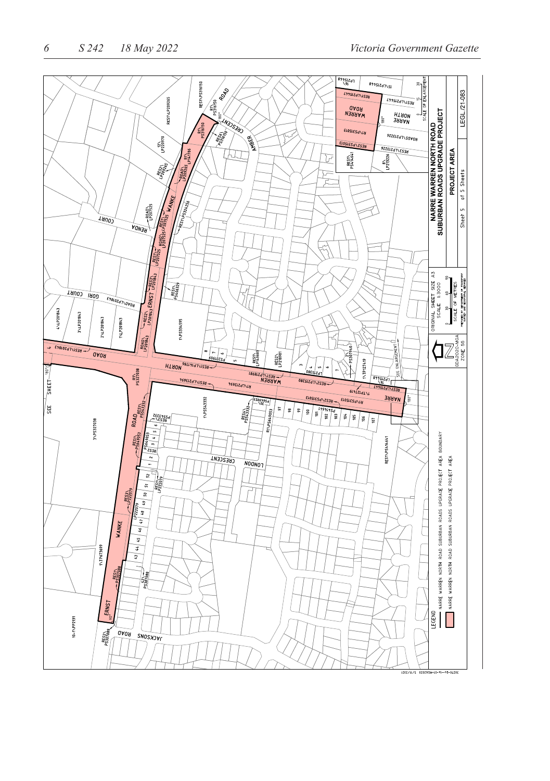

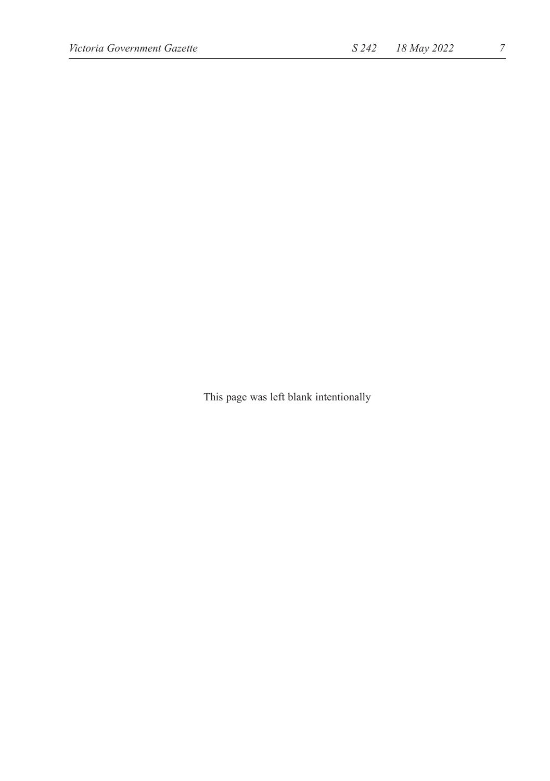This page was left blank intentionally